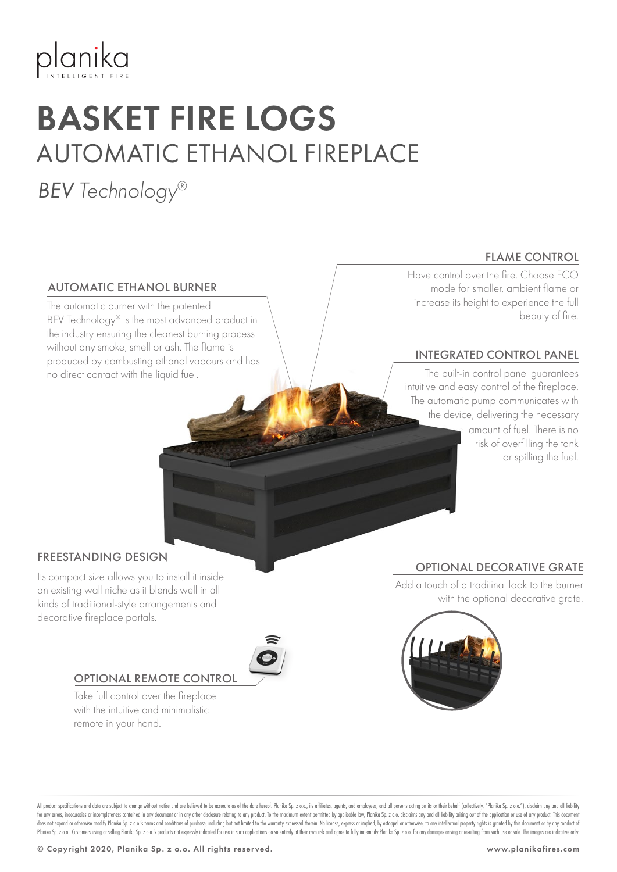

## BASKET FIRE LOGS AUTOMATIC ETHANOL FIREPLACE

### *BEV Technology®*

#### AUTOMATIC ETHANOL BURNER

The automatic burner with the patented BEV Technology® is the most advanced product in the industry ensuring the cleanest burning process without any smoke, smell or ash. The flame is produced by combusting ethanol vapours and has no direct contact with the liquid fuel.

#### FLAME CONTROL

Have control over the fire. Choose ECO mode for smaller, ambient flame or increase its height to experience the full beauty of fire.

#### INTEGRATED CONTROL PANEL

The built-in control panel guarantees intuitive and easy control of the fireplace. The automatic pump communicates with the device, delivering the necessary amount of fuel. There is no risk of overfilling the tank or spilling the fuel.

#### FREESTANDING DESIGN

Its compact size allows you to install it inside an existing wall niche as it blends well in all kinds of traditional-style arrangements and decorative fireplace portals.



#### OPTIONAL REMOTE CONTROL

Take full control over the fireplace with the intuitive and minimalistic remote in your hand.

#### OPTIONAL DECORATIVE GRATE

Add a touch of a traditinal look to the burner with the optional decorative grate.



All product specifications and data are subject to change without notice and are believed to be accurate as of the date hereof. Planika Sp. z o.o., its affiliates, agents, and employees, and all pesons acting on its or the for any errors, inaccuracies or incompleteness contained in any document or in any other disclosure relating to any product. To the maximum extent permitted by applicable law, Planika Sp. z o.o. disclaims any and all liabi does not expand or otherwise modify Planika Sp. z o.o.'s terms and conditions of purchase, including but not limited to the warranty expressed therein. No license, express or implied, by estoppel or otherwise, to any intel Planika Sp. z o.o. Customers using or selling Planika Sp. z o.o.'s products not expressly indicated for use in such applications do so entirely at their own risk and agree to fully indemnify Planika Sp. z o.o. for any dama